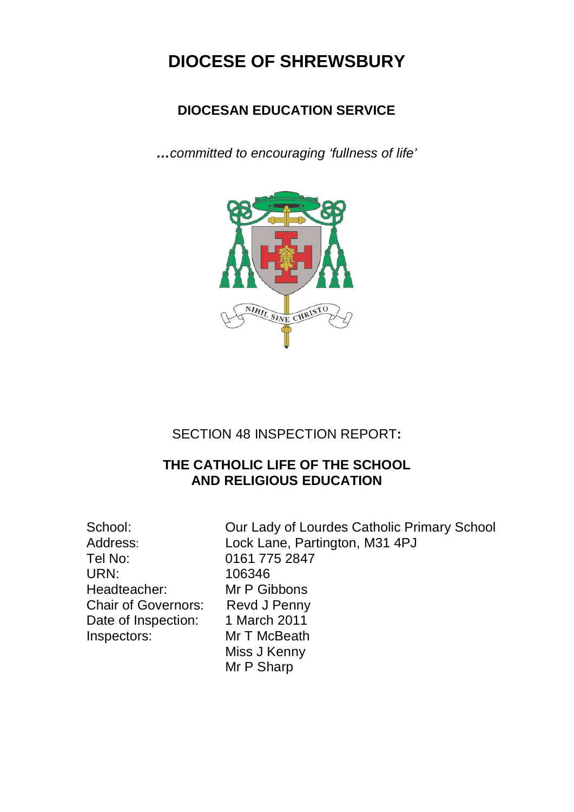# **DIOCESE OF SHREWSBURY**

### **DIOCESAN EDUCATION SERVICE**

*…committed to encouraging 'fullness of life'*



SECTION 48 INSPECTION REPORT**:**

### **THE CATHOLIC LIFE OF THE SCHOOL AND RELIGIOUS EDUCATION**

Tel No: 0161 775 2847 URN: 106346 Headteacher: Mr P Gibbons Chair of Governors: Revd J Penny Date of Inspection: 1 March 2011<br>Inspectors: Mr T McBeath

School: **Our Lady of Lourdes Catholic Primary School** Address: Lock Lane, Partington, M31 4PJ **Mr T McBeath** Miss J Kenny Mr P Sharp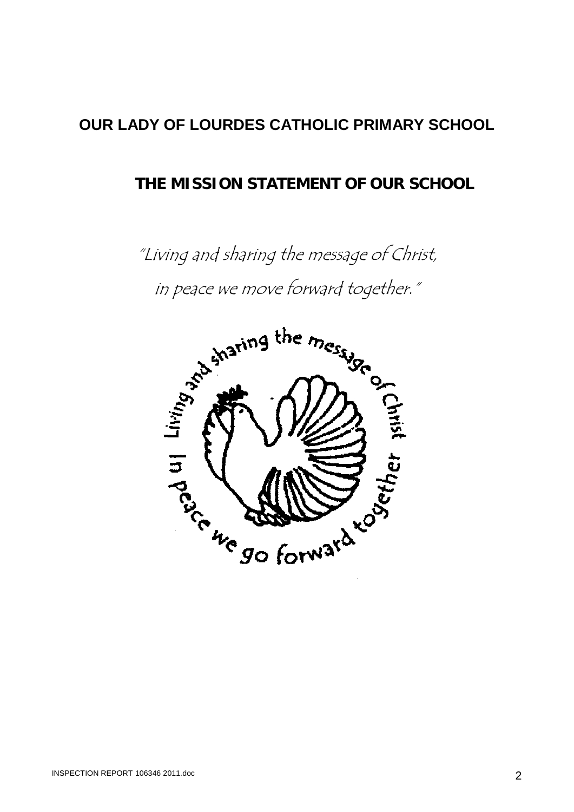# **OUR LADY OF LOURDES CATHOLIC PRIMARY SCHOOL**

### **THE MISSION STATEMENT OF OUR SCHOOL**

"Living and sharing the message of Christ, in peace we move forward together."

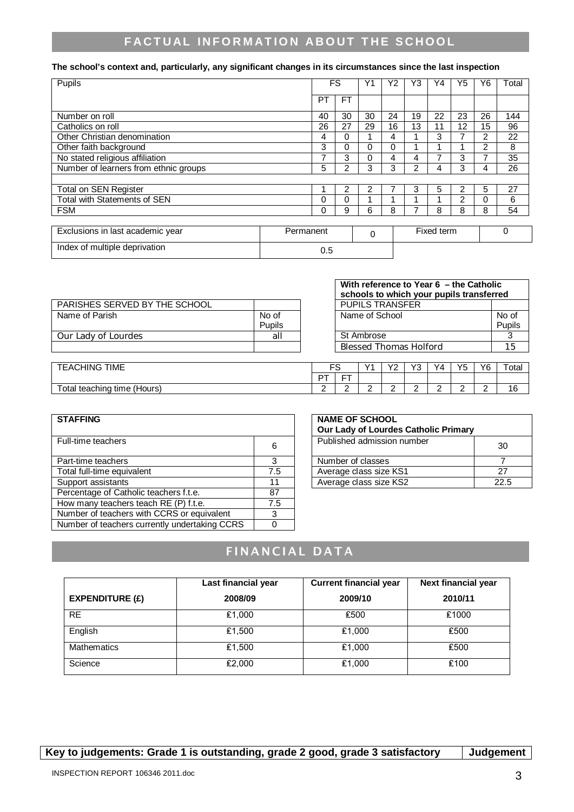### **FACTUAL INFORMATION ABOUT THE SCHOOL**

#### **The school's context and, particularly, any significant changes in its circumstances since the last inspection**

| Pupils                                |           |     | FS        |          | Υ2 | Y3 | Y4         | Y5             | Υ6 | Total    |
|---------------------------------------|-----------|-----|-----------|----------|----|----|------------|----------------|----|----------|
|                                       |           | PT  | <b>FT</b> |          |    |    |            |                |    |          |
| Number on roll                        |           | 40  | 30        | 30       | 24 | 19 | 22         | 23             | 26 | 144      |
| Catholics on roll                     |           | 26  | 27        | 29       | 16 | 13 | 11         | 12             | 15 | 96       |
| Other Christian denomination          |           | 4   | 0         |          | 4  |    | 3          | 7              | 2  | 22       |
| Other faith background                |           | 3   | 0         | $\Omega$ | 0  |    |            |                | 2  | 8        |
| No stated religious affiliation       |           | 7   | 3         | 0        | 4  | 4  | 7          | 3              | 7  | 35       |
| Number of learners from ethnic groups |           | 5   | 2         | 3        | 3  | 2  | 4          | 3              | 4  | 26       |
|                                       |           |     |           |          |    |    |            |                |    |          |
| Total on SEN Register                 |           |     | 2         | 2        |    | 3  | 5          | 2              | 5  | 27       |
| Total with Statements of SEN          |           | 0   | 0         |          |    |    |            | $\overline{2}$ | 0  | 6        |
| <b>FSM</b>                            |           | 0   | 9         | 6        | 8  |    | 8          | 8              | 8  | 54       |
|                                       |           |     |           |          |    |    |            |                |    |          |
| Exclusions in last academic year      | Permanent |     |           | $\Omega$ |    |    | Fixed term |                |    | $\Omega$ |
| Index of multiple deprivation         |           | 0.5 |           |          |    |    |            |                |    |          |

|                               |        | schools to which your pupils transferred |                |
|-------------------------------|--------|------------------------------------------|----------------|
| PARISHES SERVED BY THE SCHOOL |        | <b>PUPILS TRANSFER</b>                   |                |
| Name of Parish                | No of  | Name of School                           | No (           |
|                               | Pupils |                                          | Pup            |
| Our Lady of Lourdes           | all    | St Ambrose                               | c              |
|                               |        | <b>Blessed Thomas Holford</b>            | 1 <sup>1</sup> |

| With reference to Year 6 – the Catholic<br>schools to which your pupils transferred |        |  |  |  |
|-------------------------------------------------------------------------------------|--------|--|--|--|
| <b>PUPILS TRANSFER</b>                                                              |        |  |  |  |
| Name of School                                                                      | No of  |  |  |  |
|                                                                                     | Pupils |  |  |  |
| St Ambrose                                                                          |        |  |  |  |
| <b>Blessed Thomas Holford</b>                                                       | 15     |  |  |  |

| <b>TIME</b><br><b>\CHING</b><br>⊢A( | r c    |                | $\sqrt{4}$               | $\sqrt{2}$<br>- | $\sqrt{2}$<br>ັ | Y4     | Y <sub>5</sub> | Y6     | otal      |
|-------------------------------------|--------|----------------|--------------------------|-----------------|-----------------|--------|----------------|--------|-----------|
|                                     | DT     | --<br><u>.</u> |                          |                 |                 |        |                |        |           |
| otal<br>teaching<br>⊧tıme (Hours)   | ∽<br>- | ∼<br>-         | $\overline{\phantom{a}}$ |                 | ∽<br>-          | ⌒<br>- | ∽<br>-         | ∽<br>- | . .<br>-c |

| Published admission number<br>Full-time teachers<br>30<br>6<br>3<br>Part-time teachers<br>Number of classes<br>Total full-time equivalent<br>27<br>Average class size KS1<br>7.5<br>Average class size KS2<br>Support assistants<br>22.5<br>11<br>Percentage of Catholic teachers f.t.e.<br>87<br>How many teachers teach RE (P) f.t.e.<br>7.5<br>Number of teachers with CCRS or equivalent<br>3 | <b>STAFFING</b>                               | <b>NAME OF SCHOOL</b><br>Our Lady of Lourdes Catholic Primary |  |
|---------------------------------------------------------------------------------------------------------------------------------------------------------------------------------------------------------------------------------------------------------------------------------------------------------------------------------------------------------------------------------------------------|-----------------------------------------------|---------------------------------------------------------------|--|
|                                                                                                                                                                                                                                                                                                                                                                                                   |                                               |                                                               |  |
|                                                                                                                                                                                                                                                                                                                                                                                                   |                                               |                                                               |  |
|                                                                                                                                                                                                                                                                                                                                                                                                   |                                               |                                                               |  |
|                                                                                                                                                                                                                                                                                                                                                                                                   |                                               |                                                               |  |
|                                                                                                                                                                                                                                                                                                                                                                                                   |                                               |                                                               |  |
|                                                                                                                                                                                                                                                                                                                                                                                                   |                                               |                                                               |  |
|                                                                                                                                                                                                                                                                                                                                                                                                   |                                               |                                                               |  |
|                                                                                                                                                                                                                                                                                                                                                                                                   | Number of teachers currently undertaking CCRS |                                                               |  |

| <b>NAME OF SCHOOL</b><br>Our Lady of Lourdes Catholic Primary |      |
|---------------------------------------------------------------|------|
| Published admission number                                    | 30   |
| Number of classes                                             |      |
| Average class size KS1                                        | 27   |
| Average class size KS2                                        | 22.5 |

## FINANCIAL DATA

|                        | Last financial year | <b>Current financial year</b> | Next financial year |
|------------------------|---------------------|-------------------------------|---------------------|
| <b>EXPENDITURE (£)</b> | 2008/09             | 2009/10                       | 2010/11             |
| <b>RE</b>              | £1,000              | £500                          | £1000               |
| English                | £1,500              | £1,000                        | £500                |
| <b>Mathematics</b>     | £1,500              | £1,000                        | £500                |
| Science                | £2,000              | £1,000                        | £100                |

Key to judgements: Grade 1 is outstanding, grade 2 good, grade 3 satisfactory | Judgement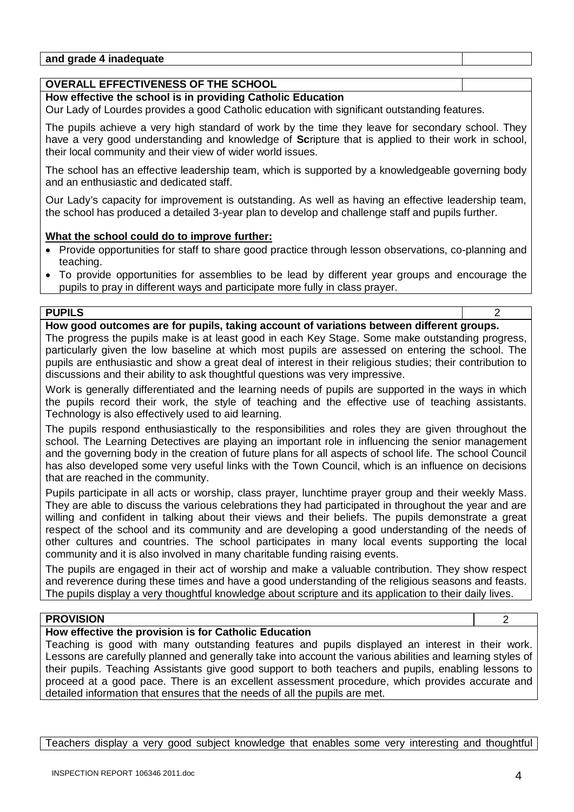| and grade 4<br>adeɑuate<br>---<br>ın: |  |
|---------------------------------------|--|
|                                       |  |

### **OVERALL EFFECTIVENESS OF THE SCHOOL**

#### **How effective the school is in providing Catholic Education**

Our Lady of Lourdes provides a good Catholic education with significant outstanding features.

The pupils achieve a very high standard of work by the time they leave for secondary school. They have a very good understanding and knowledge of **Sc**ripture that is applied to their work in school, their local community and their view of wider world issues.

The school has an effective leadership team, which is supported by a knowledgeable governing body and an enthusiastic and dedicated staff.

Our Lady's capacity for improvement is outstanding. As well as having an effective leadership team, the school has produced a detailed 3-year plan to develop and challenge staff and pupils further.

#### **What the school could do to improve further:**

- Provide opportunities for staff to share good practice through lesson observations, co-planning and teaching.
- To provide opportunities for assemblies to be lead by different year groups and encourage the pupils to pray in different ways and participate more fully in class prayer.

#### **PUPILS** 2

**How good outcomes are for pupils, taking account of variations between different groups.**

The progress the pupils make is at least good in each Key Stage. Some make outstanding progress, particularly given the low baseline at which most pupils are assessed on entering the school. The pupils are enthusiastic and show a great deal of interest in their religious studies; their contribution to discussions and their ability to ask thoughtful questions was very impressive.

Work is generally differentiated and the learning needs of pupils are supported in the ways in which the pupils record their work, the style of teaching and the effective use of teaching assistants. Technology is also effectively used to aid learning.

The pupils respond enthusiastically to the responsibilities and roles they are given throughout the school. The Learning Detectives are playing an important role in influencing the senior management and the governing body in the creation of future plans for all aspects of school life. The school Council has also developed some very useful links with the Town Council, which is an influence on decisions that are reached in the community.

Pupils participate in all acts or worship, class prayer, lunchtime prayer group and their weekly Mass. They are able to discuss the various celebrations they had participated in throughout the year and are willing and confident in talking about their views and their beliefs. The pupils demonstrate a great respect of the school and its community and are developing a good understanding of the needs of other cultures and countries. The school participates in many local events supporting the local community and it is also involved in many charitable funding raising events.

The pupils are engaged in their act of worship and make a valuable contribution. They show respect and reverence during these times and have a good understanding of the religious seasons and feasts. The pupils display a very thoughtful knowledge about scripture and its application to their daily lives.

#### **PROVISION** 2

#### **How effective the provision is for Catholic Education**

Teaching is good with many outstanding features and pupils displayed an interest in their work. Lessons are carefully planned and generally take into account the various abilities and learning styles of their pupils. Teaching Assistants give good support to both teachers and pupils, enabling lessons to proceed at a good pace. There is an excellent assessment procedure, which provides accurate and detailed information that ensures that the needs of all the pupils are met.

Teachers display a very good subject knowledge that enables some very interesting and thoughtful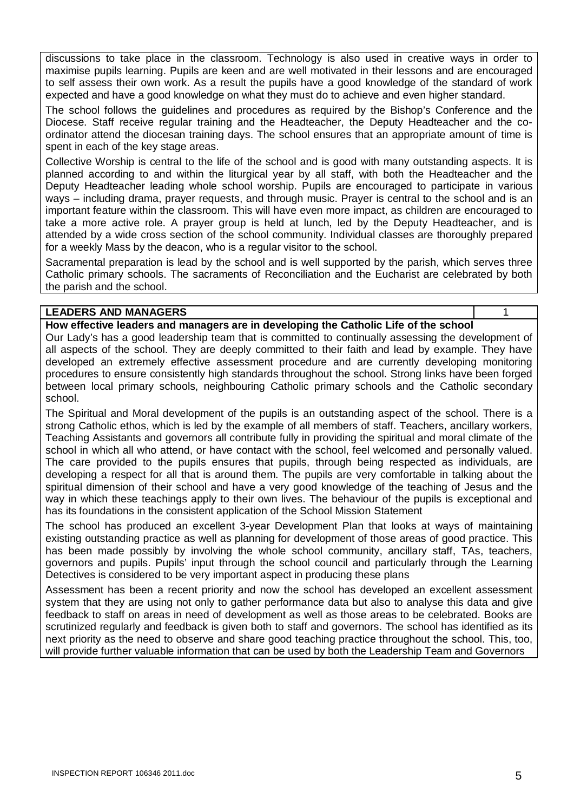discussions to take place in the classroom. Technology is also used in creative ways in order to maximise pupils learning. Pupils are keen and are well motivated in their lessons and are encouraged to self assess their own work. As a result the pupils have a good knowledge of the standard of work expected and have a good knowledge on what they must do to achieve and even higher standard.

The school follows the guidelines and procedures as required by the Bishop's Conference and the Diocese. Staff receive regular training and the Headteacher, the Deputy Headteacher and the coordinator attend the diocesan training days. The school ensures that an appropriate amount of time is spent in each of the key stage areas.

Collective Worship is central to the life of the school and is good with many outstanding aspects. It is planned according to and within the liturgical year by all staff, with both the Headteacher and the Deputy Headteacher leading whole school worship. Pupils are encouraged to participate in various ways – including drama, prayer requests, and through music. Prayer is central to the school and is an important feature within the classroom. This will have even more impact, as children are encouraged to take a more active role. A prayer group is held at lunch, led by the Deputy Headteacher, and is attended by a wide cross section of the school community. Individual classes are thoroughly prepared for a weekly Mass by the deacon, who is a regular visitor to the school.

Sacramental preparation is lead by the school and is well supported by the parish, which serves three Catholic primary schools. The sacraments of Reconciliation and the Eucharist are celebrated by both the parish and the school.

#### **LEADERS AND MANAGERS** 1

**How effective leaders and managers are in developing the Catholic Life of the school**

Our Lady's has a good leadership team that is committed to continually assessing the development of all aspects of the school. They are deeply committed to their faith and lead by example. They have developed an extremely effective assessment procedure and are currently developing monitoring procedures to ensure consistently high standards throughout the school. Strong links have been forged between local primary schools, neighbouring Catholic primary schools and the Catholic secondary school.

The Spiritual and Moral development of the pupils is an outstanding aspect of the school. There is a strong Catholic ethos, which is led by the example of all members of staff. Teachers, ancillary workers, Teaching Assistants and governors all contribute fully in providing the spiritual and moral climate of the school in which all who attend, or have contact with the school, feel welcomed and personally valued. The care provided to the pupils ensures that pupils, through being respected as individuals, are developing a respect for all that is around them. The pupils are very comfortable in talking about the spiritual dimension of their school and have a very good knowledge of the teaching of Jesus and the way in which these teachings apply to their own lives. The behaviour of the pupils is exceptional and has its foundations in the consistent application of the School Mission Statement

The school has produced an excellent 3-year Development Plan that looks at ways of maintaining existing outstanding practice as well as planning for development of those areas of good practice. This has been made possibly by involving the whole school community, ancillary staff, TAs, teachers, governors and pupils. Pupils' input through the school council and particularly through the Learning Detectives is considered to be very important aspect in producing these plans

Assessment has been a recent priority and now the school has developed an excellent assessment system that they are using not only to gather performance data but also to analyse this data and give feedback to staff on areas in need of development as well as those areas to be celebrated. Books are scrutinized regularly and feedback is given both to staff and governors. The school has identified as its next priority as the need to observe and share good teaching practice throughout the school. This, too, will provide further valuable information that can be used by both the Leadership Team and Governors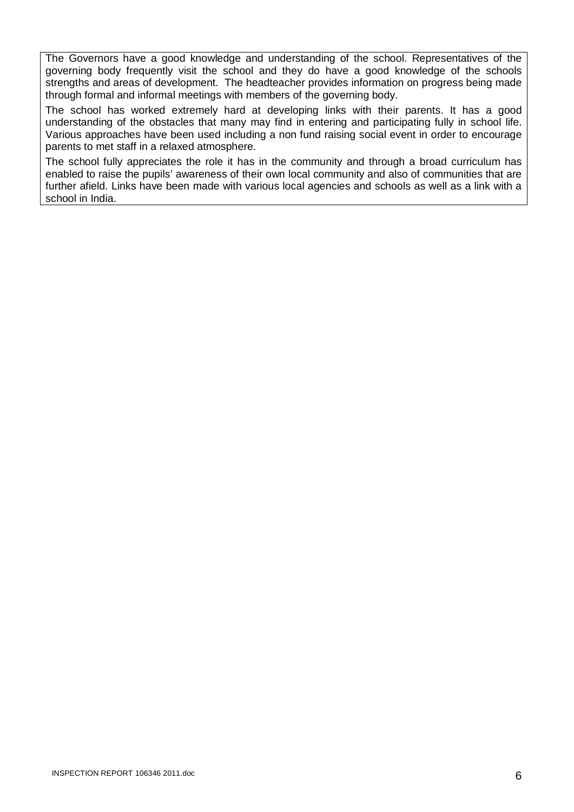The Governors have a good knowledge and understanding of the school. Representatives of the governing body frequently visit the school and they do have a good knowledge of the schools strengths and areas of development. The headteacher provides information on progress being made through formal and informal meetings with members of the governing body.

The school has worked extremely hard at developing links with their parents. It has a good understanding of the obstacles that many may find in entering and participating fully in school life. Various approaches have been used including a non fund raising social event in order to encourage parents to met staff in a relaxed atmosphere.

The school fully appreciates the role it has in the community and through a broad curriculum has enabled to raise the pupils' awareness of their own local community and also of communities that are further afield. Links have been made with various local agencies and schools as well as a link with a school in India.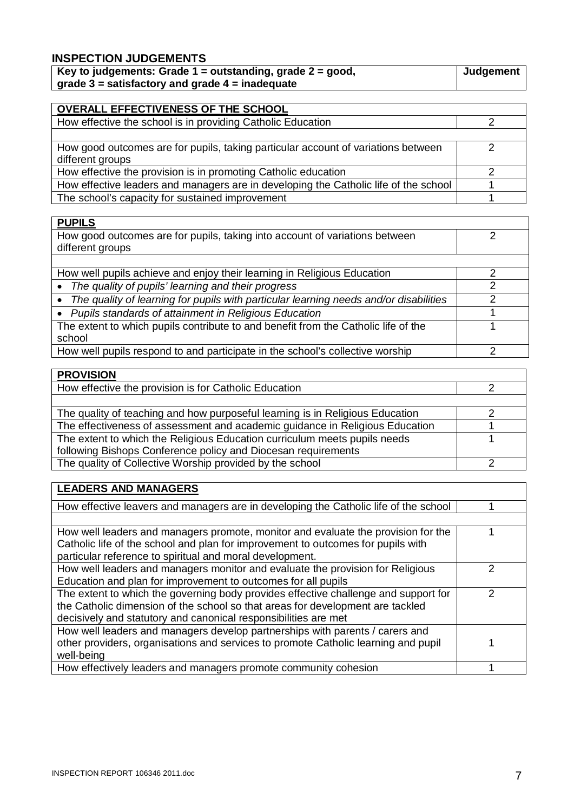### **INSPECTION JUDGEMENTS**

| Key to judgements: Grade $1 =$ outstanding, grade $2 =$ good, | Judgement |
|---------------------------------------------------------------|-----------|
| grade $3$ = satisfactory and grade $4$ = inadequate           |           |

| OVERALL EFFECTIVENESS OF THE SCHOOL                                                  |  |
|--------------------------------------------------------------------------------------|--|
| How effective the school is in providing Catholic Education                          |  |
|                                                                                      |  |
| How good outcomes are for pupils, taking particular account of variations between    |  |
| different groups                                                                     |  |
| How effective the provision is in promoting Catholic education                       |  |
| How effective leaders and managers are in developing the Catholic life of the school |  |
| The school's capacity for sustained improvement                                      |  |

| <b>PUPILS</b>                                                                                      |    |
|----------------------------------------------------------------------------------------------------|----|
| How good outcomes are for pupils, taking into account of variations between                        | っ  |
| different groups                                                                                   |    |
|                                                                                                    |    |
| How well pupils achieve and enjoy their learning in Religious Education                            | ົ  |
| The quality of pupils' learning and their progress<br>$\bullet$                                    | າ  |
| The quality of learning for pupils with particular learning needs and/or disabilities<br>$\bullet$ | רי |
| Pupils standards of attainment in Religious Education<br>$\bullet$                                 |    |
| The extent to which pupils contribute to and benefit from the Catholic life of the                 |    |
| school                                                                                             |    |
| How well pupils respond to and participate in the school's collective worship                      | ◠  |

| <b>PROVISION</b>                                                              |  |
|-------------------------------------------------------------------------------|--|
| How effective the provision is for Catholic Education                         |  |
|                                                                               |  |
| The quality of teaching and how purposeful learning is in Religious Education |  |
| The effectiveness of assessment and academic guidance in Religious Education  |  |
| The extent to which the Religious Education curriculum meets pupils needs     |  |
| following Bishops Conference policy and Diocesan requirements                 |  |
| The quality of Collective Worship provided by the school                      |  |

| <b>LEADERS AND MANAGERS</b> |  |
|-----------------------------|--|
|                             |  |

| How effective leavers and managers are in developing the Catholic life of the school |  |
|--------------------------------------------------------------------------------------|--|
|                                                                                      |  |
| How well leaders and managers promote, monitor and evaluate the provision for the    |  |
| Catholic life of the school and plan for improvement to outcomes for pupils with     |  |
| particular reference to spiritual and moral development.                             |  |
| How well leaders and managers monitor and evaluate the provision for Religious       |  |
| Education and plan for improvement to outcomes for all pupils                        |  |
| The extent to which the governing body provides effective challenge and support for  |  |
| the Catholic dimension of the school so that areas for development are tackled       |  |
| decisively and statutory and canonical responsibilities are met                      |  |
| How well leaders and managers develop partnerships with parents / carers and         |  |
| other providers, organisations and services to promote Catholic learning and pupil   |  |
| well-being                                                                           |  |
| How effectively leaders and managers promote community cohesion                      |  |